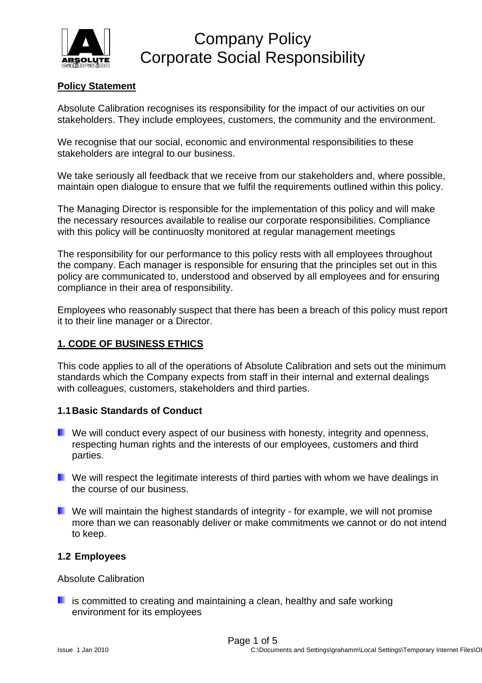

## **Policy Statement**

Absolute Calibration recognises its responsibility for the impact of our activities on our stakeholders. They include employees, customers, the community and the environment.

We recognise that our social, economic and environmental responsibilities to these stakeholders are integral to our business.

We take seriously all feedback that we receive from our stakeholders and, where possible, maintain open dialogue to ensure that we fulfil the requirements outlined within this policy.

The Managing Director is responsible for the implementation of this policy and will make the necessary resources available to realise our corporate responsibilities. Compliance with this policy will be continuoslty monitored at regular management meetings

The responsibility for our performance to this policy rests with all employees throughout the company. Each manager is responsible for ensuring that the principles set out in this policy are communicated to, understood and observed by all employees and for ensuring compliance in their area of responsibility.

Employees who reasonably suspect that there has been a breach of this policy must report it to their line manager or a Director.

## **1. CODE OF BUSINESS ETHICS**

This code applies to all of the operations of Absolute Calibration and sets out the minimum standards which the Company expects from staff in their internal and external dealings with colleagues, customers, stakeholders and third parties.

## **1.1 Basic Standards of Conduct**

- $\blacksquare$  We will conduct every aspect of our business with honesty, integrity and openness, respecting human rights and the interests of our employees, customers and third parties.
- **L** We will respect the legitimate interests of third parties with whom we have dealings in the course of our business.
- **U** We will maintain the highest standards of integrity for example, we will not promise more than we can reasonably deliver or make commitments we cannot or do not intend to keep.

## **1.2 Employees**

Absolute Calibration

 $\blacksquare$  is committed to creating and maintaining a clean, healthy and safe working environment for its employees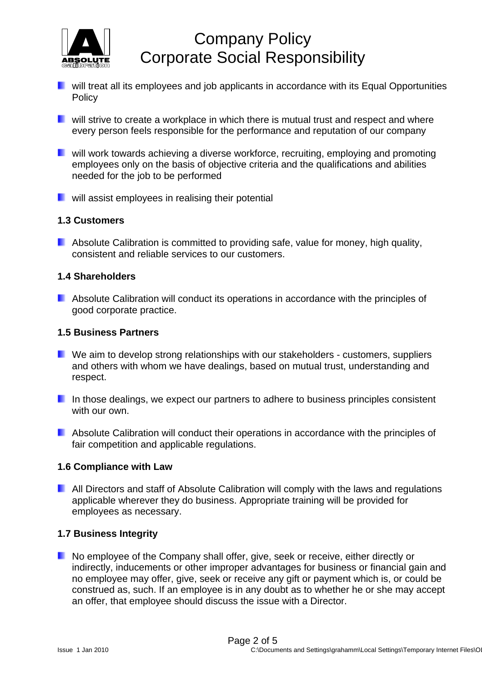

- **D** will treat all its employees and job applicants in accordance with its Equal Opportunities **Policy**
- **E** will strive to create a workplace in which there is mutual trust and respect and where every person feels responsible for the performance and reputation of our company
- **E** will work towards achieving a diverse workforce, recruiting, employing and promoting employees only on the basis of objective criteria and the qualifications and abilities needed for the job to be performed
- **u** will assist employees in realising their potential

### **1.3 Customers**

**Absolute Calibration is committed to providing safe, value for money, high quality,** consistent and reliable services to our customers.

### **1.4 Shareholders**

**Absolute Calibration will conduct its operations in accordance with the principles of** good corporate practice.

#### **1.5 Business Partners**

- **U** We aim to develop strong relationships with our stakeholders customers, suppliers and others with whom we have dealings, based on mutual trust, understanding and respect.
- **In those dealings, we expect our partners to adhere to business principles consistent** with our own.
- **Absolute Calibration will conduct their operations in accordance with the principles of** fair competition and applicable regulations.

#### **1.6 Compliance with Law**

**All Directors and staff of Absolute Calibration will comply with the laws and regulations** applicable wherever they do business. Appropriate training will be provided for employees as necessary.

#### **1.7 Business Integrity**

No employee of the Company shall offer, give, seek or receive, either directly or indirectly, inducements or other improper advantages for business or financial gain and no employee may offer, give, seek or receive any gift or payment which is, or could be construed as, such. If an employee is in any doubt as to whether he or she may accept an offer, that employee should discuss the issue with a Director.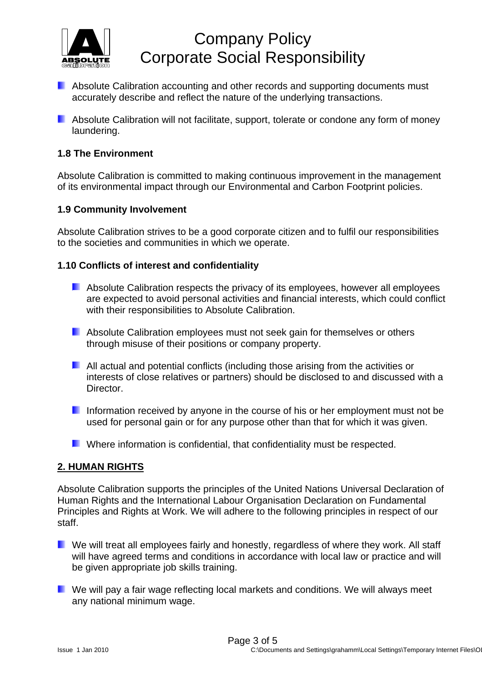

- **Absolute Calibration accounting and other records and supporting documents must** accurately describe and reflect the nature of the underlying transactions.
- **Absolute Calibration will not facilitate, support, tolerate or condone any form of money** laundering.

## **1.8 The Environment**

Absolute Calibration is committed to making continuous improvement in the management of its environmental impact through our Environmental and Carbon Footprint policies.

## **1.9 Community Involvement**

Absolute Calibration strives to be a good corporate citizen and to fulfil our responsibilities to the societies and communities in which we operate.

### **1.10 Conflicts of interest and confidentiality**

- **Absolute Calibration respects the privacy of its employees, however all employees** are expected to avoid personal activities and financial interests, which could conflict with their responsibilities to Absolute Calibration.
- **Absolute Calibration employees must not seek gain for themselves or others** through misuse of their positions or company property.
- **All actual and potential conflicts (including those arising from the activities or** interests of close relatives or partners) should be disclosed to and discussed with a Director.
- Information received by anyone in the course of his or her employment must not be used for personal gain or for any purpose other than that for which it was given.
- **E** Where information is confidential, that confidentiality must be respected.

## **2. HUMAN RIGHTS**

Absolute Calibration supports the principles of the United Nations Universal Declaration of Human Rights and the International Labour Organisation Declaration on Fundamental Principles and Rights at Work. We will adhere to the following principles in respect of our staff.

- **Now** We will treat all employees fairly and honestly, regardless of where they work. All staff will have agreed terms and conditions in accordance with local law or practice and will be given appropriate job skills training.
- **U** We will pay a fair wage reflecting local markets and conditions. We will always meet any national minimum wage.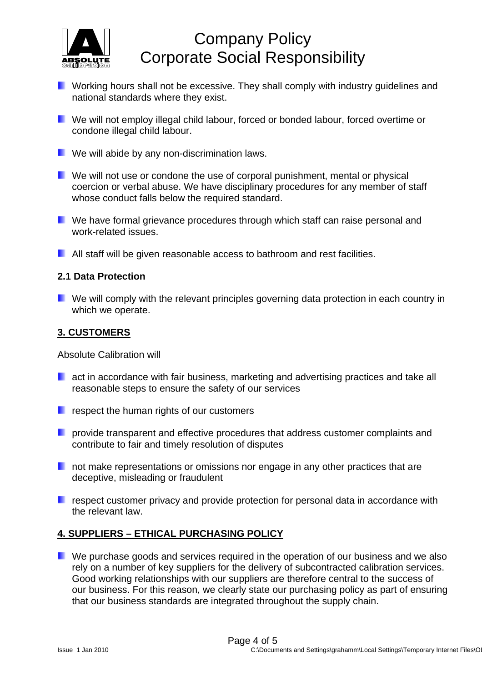

- **E** Working hours shall not be excessive. They shall comply with industry guidelines and national standards where they exist.
- **E** We will not employ illegal child labour, forced or bonded labour, forced overtime or condone illegal child labour.
- **Now We will abide by any non-discrimination laws.**
- **E** We will not use or condone the use of corporal punishment, mental or physical coercion or verbal abuse. We have disciplinary procedures for any member of staff whose conduct falls below the required standard.
- **E** We have formal grievance procedures through which staff can raise personal and work-related issues.
- **All staff will be given reasonable access to bathroom and rest facilities.**

#### **2.1 Data Protection**

**U** We will comply with the relevant principles governing data protection in each country in which we operate.

### **3. CUSTOMERS**

Absolute Calibration will

- **L** act in accordance with fair business, marketing and advertising practices and take all reasonable steps to ensure the safety of our services
- **F** respect the human rights of our customers
- **P** provide transparent and effective procedures that address customer complaints and contribute to fair and timely resolution of disputes
- not make representations or omissions nor engage in any other practices that are deceptive, misleading or fraudulent
- **F** respect customer privacy and provide protection for personal data in accordance with the relevant law.

## **4. SUPPLIERS – ETHICAL PURCHASING POLICY**

**E** We purchase goods and services required in the operation of our business and we also rely on a number of key suppliers for the delivery of subcontracted calibration services. Good working relationships with our suppliers are therefore central to the success of our business. For this reason, we clearly state our purchasing policy as part of ensuring that our business standards are integrated throughout the supply chain.